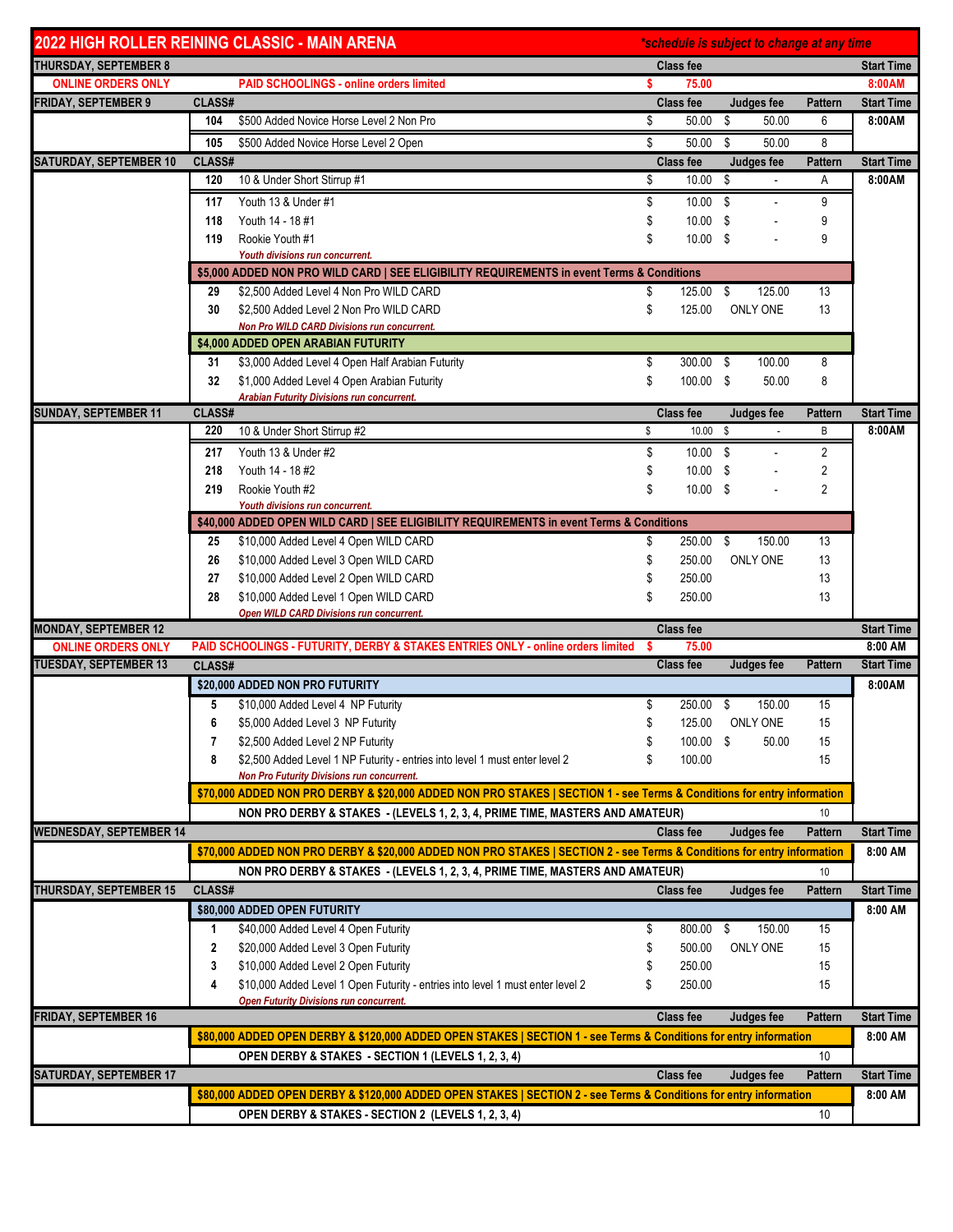| <b>2022 HIGH ROLLER REINING CLASSIC - MAIN ARENA</b>      |                                                                                            |                                                                                                                         | *schedule is subject to change at any time |                           |             |                 |                              |  |  |  |  |
|-----------------------------------------------------------|--------------------------------------------------------------------------------------------|-------------------------------------------------------------------------------------------------------------------------|--------------------------------------------|---------------------------|-------------|-----------------|------------------------------|--|--|--|--|
| <b>THURSDAY, SEPTEMBER 8</b>                              |                                                                                            |                                                                                                                         |                                            | <b>Class fee</b>          |             |                 | <b>Start Time</b>            |  |  |  |  |
| <b>ONLINE ORDERS ONLY</b>                                 |                                                                                            | <b>PAID SCHOOLINGS - online orders limited</b>                                                                          | s.                                         | 75.00                     |             |                 | 8:00AM                       |  |  |  |  |
| <b>FRIDAY, SEPTEMBER 9</b>                                | CLASS#                                                                                     |                                                                                                                         |                                            | <b>Class fee</b>          | Judges fee  | <b>Pattern</b>  | <b>Start Time</b>            |  |  |  |  |
|                                                           | 104                                                                                        | \$500 Added Novice Horse Level 2 Non Pro                                                                                | \$                                         | 50.00                     | \$<br>50.00 | 6               | 8:00AM                       |  |  |  |  |
|                                                           | 105                                                                                        | \$500 Added Novice Horse Level 2 Open                                                                                   | \$                                         | 50.00                     | \$<br>50.00 | 8               |                              |  |  |  |  |
| <b>SATURDAY, SEPTEMBER 10</b>                             | CLASS#                                                                                     |                                                                                                                         |                                            | <b>Class fee</b>          | Judges fee  | Pattern         | <b>Start Time</b>            |  |  |  |  |
|                                                           | 120                                                                                        | 10 & Under Short Stirrup #1                                                                                             | \$                                         | $10.00$ \$                |             | Α               | 8:00AM                       |  |  |  |  |
|                                                           | 117                                                                                        | Youth 13 & Under #1                                                                                                     | \$                                         | $10.00$ \$                |             | 9               |                              |  |  |  |  |
|                                                           | 118                                                                                        | Youth 14 - 18 #1                                                                                                        | \$                                         | $10.00$ \$                |             | 9               |                              |  |  |  |  |
|                                                           | 119                                                                                        | Rookie Youth #1                                                                                                         | \$                                         | $10.00$ \$                |             | 9               |                              |  |  |  |  |
|                                                           |                                                                                            | Youth divisions run concurrent.                                                                                         |                                            |                           |             |                 |                              |  |  |  |  |
|                                                           | \$5,000 ADDED NON PRO WILD CARD   SEE ELIGIBILITY REQUIREMENTS in event Terms & Conditions |                                                                                                                         |                                            |                           |             |                 |                              |  |  |  |  |
|                                                           | 29                                                                                         | \$2,500 Added Level 4 Non Pro WILD CARD                                                                                 | \$                                         | 125.00 \$                 | 125.00      | 13              |                              |  |  |  |  |
|                                                           | 30                                                                                         | \$2,500 Added Level 2 Non Pro WILD CARD                                                                                 | \$                                         | 125.00                    | ONLY ONE    | 13              |                              |  |  |  |  |
|                                                           |                                                                                            | Non Pro WILD CARD Divisions run concurrent.                                                                             |                                            |                           |             |                 |                              |  |  |  |  |
|                                                           |                                                                                            | \$4,000 ADDED OPEN ARABIAN FUTURITY                                                                                     |                                            |                           |             |                 |                              |  |  |  |  |
|                                                           | 31                                                                                         | \$3,000 Added Level 4 Open Half Arabian Futurity                                                                        | \$                                         | 300.00 \$                 | 100.00      | 8               |                              |  |  |  |  |
|                                                           | 32                                                                                         | \$1,000 Added Level 4 Open Arabian Futurity                                                                             | \$                                         | 100.00 \$                 | 50.00       | 8               |                              |  |  |  |  |
| <b>SUNDAY, SEPTEMBER 11</b>                               | CLASS#                                                                                     | <b>Arabian Futurity Divisions run concurrent.</b>                                                                       |                                            | <b>Class fee</b>          | Judges fee  | Pattern         | <b>Start Time</b>            |  |  |  |  |
|                                                           | 220                                                                                        | 10 & Under Short Stirrup #2                                                                                             | \$                                         | $10.00$ \$                |             | B               | 8:00AM                       |  |  |  |  |
|                                                           | 217                                                                                        | Youth 13 & Under #2                                                                                                     | \$                                         | 10.00 \$                  |             | $\overline{2}$  |                              |  |  |  |  |
|                                                           | 218                                                                                        | Youth 14 - 18 #2                                                                                                        | \$                                         | $10.00$ \$                |             | 2               |                              |  |  |  |  |
|                                                           | 219                                                                                        | Rookie Youth #2                                                                                                         |                                            | $10.00$ \$                |             | $\overline{2}$  |                              |  |  |  |  |
|                                                           |                                                                                            | Youth divisions run concurrent.                                                                                         |                                            |                           |             |                 |                              |  |  |  |  |
|                                                           |                                                                                            | \$40,000 ADDED OPEN WILD CARD   SEE ELIGIBILITY REQUIREMENTS in event Terms & Conditions                                |                                            |                           |             |                 |                              |  |  |  |  |
|                                                           | 25                                                                                         | \$10,000 Added Level 4 Open WILD CARD                                                                                   | \$                                         | 250.00 \$                 | 150.00      | 13              |                              |  |  |  |  |
|                                                           | 26                                                                                         | \$10,000 Added Level 3 Open WILD CARD                                                                                   | \$                                         | 250.00                    | ONLY ONE    | 13              |                              |  |  |  |  |
|                                                           | 27                                                                                         | \$10,000 Added Level 2 Open WILD CARD                                                                                   | \$                                         | 250.00                    |             | 13              |                              |  |  |  |  |
|                                                           | 28                                                                                         | \$10,000 Added Level 1 Open WILD CARD                                                                                   | \$                                         | 250.00                    |             | 13              |                              |  |  |  |  |
|                                                           |                                                                                            | Open WILD CARD Divisions run concurrent.                                                                                |                                            |                           |             |                 |                              |  |  |  |  |
| <b>MONDAY, SEPTEMBER 12</b>                               |                                                                                            |                                                                                                                         |                                            | <b>Class fee</b>          |             |                 | <b>Start Time</b>            |  |  |  |  |
| <b>ONLINE ORDERS ONLY</b><br><b>TUESDAY, SEPTEMBER 13</b> |                                                                                            | PAID SCHOOLINGS - FUTURITY, DERBY & STAKES ENTRIES ONLY - online orders limited                                         | S                                          | 75.00<br><b>Class fee</b> |             | <b>Pattern</b>  | 8:00 AM<br><b>Start Time</b> |  |  |  |  |
|                                                           | CLASS#                                                                                     |                                                                                                                         |                                            |                           | Judges fee  |                 |                              |  |  |  |  |
|                                                           |                                                                                            | \$20,000 ADDED NON PRO FUTURITY                                                                                         |                                            |                           |             |                 | 8:00AM                       |  |  |  |  |
|                                                           | 5                                                                                          | \$10,000 Added Level 4 NP Futurity                                                                                      | \$                                         | 250.00 \$                 | 150.00      | 15              |                              |  |  |  |  |
|                                                           | 6                                                                                          | \$5,000 Added Level 3 NP Futurity                                                                                       | \$                                         | 125.00<br>100.00 \$       | ONLY ONE    | 15              |                              |  |  |  |  |
|                                                           | 7<br>8                                                                                     | \$2,500 Added Level 2 NP Futurity<br>\$2,500 Added Level 1 NP Futurity - entries into level 1 must enter level 2        | \$                                         | 100.00                    | 50.00       | 15<br>15        |                              |  |  |  |  |
|                                                           |                                                                                            | Non Pro Futurity Divisions run concurrent.                                                                              |                                            |                           |             |                 |                              |  |  |  |  |
|                                                           |                                                                                            | \$70,000 ADDED NON PRO DERBY & \$20,000 ADDED NON PRO STAKES   SECTION 1 - see Terms & Conditions for entry information |                                            |                           |             |                 |                              |  |  |  |  |
|                                                           |                                                                                            | NON PRO DERBY & STAKES - (LEVELS 1, 2, 3, 4, PRIME TIME, MASTERS AND AMATEUR)                                           |                                            |                           |             | 10              |                              |  |  |  |  |
| <b>WEDNESDAY, SEPTEMBER 14</b>                            |                                                                                            |                                                                                                                         |                                            | <b>Class fee</b>          | Judges fee  | <b>Pattern</b>  | <b>Start Time</b>            |  |  |  |  |
|                                                           |                                                                                            | \$70,000 ADDED NON PRO DERBY & \$20,000 ADDED NON PRO STAKES   SECTION 2 - see Terms & Conditions for entry information |                                            |                           |             |                 | 8:00 AM                      |  |  |  |  |
|                                                           |                                                                                            | NON PRO DERBY & STAKES - (LEVELS 1, 2, 3, 4, PRIME TIME, MASTERS AND AMATEUR)                                           |                                            |                           |             | 10 <sup>°</sup> |                              |  |  |  |  |
| THURSDAY, SEPTEMBER 15                                    | CLASS#                                                                                     |                                                                                                                         |                                            | <b>Class fee</b>          | Judges fee  | <b>Pattern</b>  | <b>Start Time</b>            |  |  |  |  |
|                                                           |                                                                                            | \$80,000 ADDED OPEN FUTURITY                                                                                            |                                            |                           |             |                 | 8:00 AM                      |  |  |  |  |
|                                                           | 1                                                                                          | \$40,000 Added Level 4 Open Futurity                                                                                    | \$                                         | 800.00 \$                 | 150.00      | 15              |                              |  |  |  |  |
|                                                           | 2                                                                                          | \$20,000 Added Level 3 Open Futurity                                                                                    | \$                                         | 500.00                    | ONLY ONE    | 15              |                              |  |  |  |  |
|                                                           | 3                                                                                          | \$10,000 Added Level 2 Open Futurity                                                                                    |                                            | 250.00                    |             | 15              |                              |  |  |  |  |
|                                                           | 4                                                                                          | \$10,000 Added Level 1 Open Futurity - entries into level 1 must enter level 2                                          | S                                          | 250.00                    |             | 15              |                              |  |  |  |  |
|                                                           |                                                                                            | <b>Open Futurity Divisions run concurrent.</b>                                                                          |                                            |                           |             |                 |                              |  |  |  |  |
| <b>FRIDAY, SEPTEMBER 16</b>                               |                                                                                            |                                                                                                                         |                                            | <b>Class fee</b>          | Judges fee  | <b>Pattern</b>  | <b>Start Time</b>            |  |  |  |  |
|                                                           |                                                                                            | \$80,000 ADDED OPEN DERBY & \$120,000 ADDED OPEN STAKES   SECTION 1 - see Terms & Conditions for entry information      |                                            |                           |             |                 | 8:00 AM                      |  |  |  |  |
|                                                           |                                                                                            | OPEN DERBY & STAKES - SECTION 1 (LEVELS 1, 2, 3, 4)                                                                     |                                            |                           |             | 10              |                              |  |  |  |  |
| <b>SATURDAY, SEPTEMBER 17</b>                             |                                                                                            |                                                                                                                         |                                            | <b>Class fee</b>          | Judges fee  | <b>Pattern</b>  | <b>Start Time</b>            |  |  |  |  |
|                                                           |                                                                                            | \$80,000 ADDED OPEN DERBY & \$120,000 ADDED OPEN STAKES   SECTION 2 - see Terms & Conditions for entry information      |                                            |                           |             |                 | 8:00 AM                      |  |  |  |  |
|                                                           |                                                                                            | OPEN DERBY & STAKES - SECTION 2 (LEVELS 1, 2, 3, 4)                                                                     |                                            |                           |             | 10              |                              |  |  |  |  |